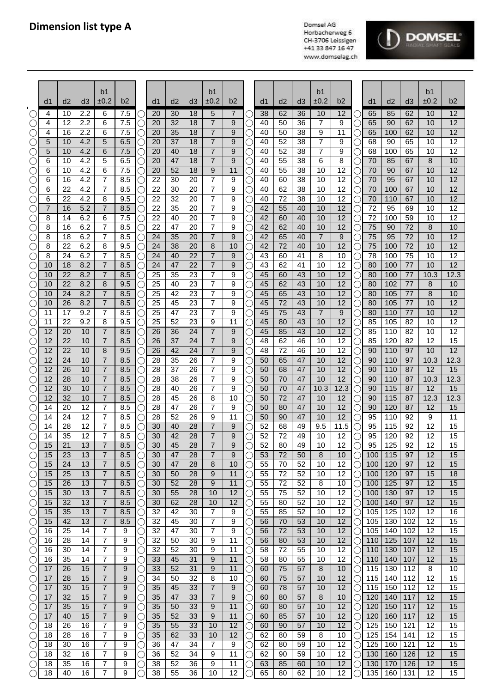



|                                             |          |                       |            | b <sub>1</sub>                   | b2         |             |          |          |          | b <sub>1</sub><br>±0.2           | b <sub>2</sub> |           |          |          |          | b <sub>1</sub><br>±0.2 | b2       |                      |            |            |            | b1<br>±0.2 | b2                    |
|---------------------------------------------|----------|-----------------------|------------|----------------------------------|------------|-------------|----------|----------|----------|----------------------------------|----------------|-----------|----------|----------|----------|------------------------|----------|----------------------|------------|------------|------------|------------|-----------------------|
|                                             | d1       | d2                    | d3         | ±0.2                             |            |             | d1       | d2       | d3       |                                  |                |           | d1       | d2       | d3       |                        |          |                      | d1         | d2         | d3         |            |                       |
|                                             | 4<br>4   | 10<br>12              | 2.2<br>2.2 | 6<br>6                           | 7.5<br>7.5 |             | 20<br>20 | 30<br>32 | 18<br>18 | 5<br>7                           | 7<br>9         |           | 38<br>40 | 62<br>50 | 36<br>36 | 10<br>7                | 12<br>9  | $\left(\right)$      | 65<br>65   | 85<br>90   | 62<br>62   | 10<br>10   | 12<br>12              |
|                                             | 4        | 16                    | 2.2        | 6                                | 7.5        |             | 20       | 35       | 18       | $\overline{7}$                   | 9              |           | 40       | 50       | 38       | 9                      | 11       | О                    | 65         | 100        | 62         | 10         | 12                    |
| $\left(\right)$                             | 5        | 10                    | 4.2        | 5                                | 6.5        |             | 20       | 37       | 18       | $\overline{7}$                   | 9              |           | 40       | 52       | 38       | 7                      | 9        | C                    | 68         | 90         | 65         | 10         | 12                    |
|                                             | 5        | 10                    | 4.2        | 6                                | 7.5        | $\cup$      | 20       | 40       | 18       | 7                                | 9              |           | 40       | 52       | 38       | $\overline{7}$         | 9        | C                    | 68         | 100        | 65         | 10         | $\overline{12}$       |
| $\bigcirc$                                  | 6        | 10                    | 4.2        | 5                                | 6.5        | $\cup$      | 20       | 47       | 18       | $\overline{7}$                   | 9              |           | 40       | 55       | 38       | 6                      | 8        | O                    | 70         | 85         | 67         | 8          | 10                    |
| O                                           | 6        | 10                    | 4.2        | 6                                | 7.5        | С           | 20       | 52       | 18       | 9                                | 11             |           | 40       | 55       | 38       | 10                     | 12       | О                    | 70         | 90         | 67         | 10         | $\overline{12}$       |
| $\left(\right)$                             | 6        | 16                    | 4.2        | $\overline{7}$                   | 8.5        | С           | 22       | 30       | 20       | $\overline{7}$                   | 9              |           | 40       | 60       | 38       | 10                     | 12       | $\bigcirc$           | 70         | 95         | 67         | 10         | 12                    |
| O                                           | 6<br>6   | 22<br>22              | 4.2<br>4.2 | $\overline{7}$<br>8              | 8.5<br>9.5 | C           | 22<br>22 | 30<br>32 | 20<br>20 | 7<br>$\overline{7}$              | 9<br>9         |           | 40<br>40 | 62<br>72 | 38<br>38 | 10<br>10               | 12<br>12 | О                    | 70<br>70   | 100<br>110 | 67<br>67   | 10<br>10   | $\overline{12}$<br>12 |
| $\left(\right)$<br>$\left(\right)$          | 7        | 16                    | 5.2        | $\overline{7}$                   | 8.5        | C           | 22       | 35       | 20       | $\overline{7}$                   | 9              |           | 42       | 55       | 40       | 10                     | 12       | О<br>O               | 72         | 95         | 69         | 10         | $\overline{12}$       |
| C                                           | 8        | 14                    | 6.2        | 6                                | 7.5        | 0           | 22       | 40       | 20       | 7                                | 9              |           | 42       | 60       | 40       | 10                     | 12       | O                    | 72         | 100        | 59         | 10         | $\overline{12}$       |
| O                                           | 8        | 16                    | 6.2        | 7                                | 8.5        | 0           | 22       | 47       | 20       | $\overline{7}$                   | 9              |           | 42       | 62       | 40       | 10                     | 12       | O                    | 75         | 90         | 72         | 8          | 10                    |
| $\bigcirc$                                  | 8        | 18                    | 6.2        | 7                                | 8.5        |             | 24       | 35       | 20       | 7                                | 9              |           | 42       | 65       | 40       | $\overline{7}$         | 9        | $\bigcirc$           | 75         | 95         | 72         | 10         | 12                    |
| $\bigcirc$                                  | 8        | 22                    | 6.2        | 8                                | 9.5        |             | 24       | 38       | 20       | 8                                | 10             |           | 42       | 72       | 40       | 10                     | 12       | $\bigcirc$           | 75         | 100        | 72         | 10         | 12                    |
|                                             | 8        | 24                    | 6.2        | 7                                | 8.5        |             | 24       | 40       | 22       | $\overline{7}$                   | 9              |           | 43       | 60       | 41       | 8                      | 10       | О                    | 78         | 100        | 75         | 10         | 12                    |
|                                             | 10<br>10 | 18<br>22              | 8.2<br>8.2 | 7<br>7                           | 8.5<br>8.5 | C           | 24<br>25 | 47<br>35 | 22<br>23 | $\overline{7}$<br>$\overline{7}$ | 9              |           | 43<br>45 | 62<br>60 | 41<br>43 | 10<br>10               | 12<br>12 | О                    | 80<br>80   | 100<br>100 | 77<br>77   | 10<br>10.3 | 12<br>12.3            |
| С<br>O                                      | 10       | 22                    | 8.2        | 8                                | 9.5        | $\cup$<br>С | 25       | 40       | 23       | 7                                | 9<br>9         |           | 45       | 62       | 43       | 10                     | 12       | О<br>$\bigcirc$      | 80         | 102        | 77         | 8          | 10                    |
| O                                           | 10       | 24                    | 8.2        | $\overline{7}$                   | 8.5        | С           | 25       | 42       | 23       | $\overline{7}$                   | 9              |           | 45       | 65       | 43       | 10                     | 12       | $\bigcirc$           | 80         | 105        | 77         | 8          | 10                    |
| O                                           | 10       | 26                    | 8.2        | $\overline{7}$                   | 8.5        | С           | 25       | 45       | 23       | 7                                | 9              |           | 45       | 72       | 43       | 10                     | 12       | $\bigcirc$           | 80         | 105        | 77         | 10         | 12                    |
| O                                           | 11       | 17                    | 9.2        | $\overline{7}$                   | 8.5        |             | 25       | 47       | 23       | 7                                | 9              |           | 45       | 75       | 43       | $\overline{7}$         | 9        | О                    | 80         | 110        | 77         | 10         | 12                    |
|                                             | 11       | 22                    | 9.2        | 8                                | 9.5        |             | 25       | 52       | 23       | 9                                | 11             |           | 45       | 80       | 43       | 10                     | 12       | О                    | 85         | 105        | 82         | 10         | $\overline{12}$       |
|                                             | 12       | 20                    | 10         | $\overline{7}$                   | 8.5        |             | 26       | 36       | 24       | $\overline{7}$                   | 9              |           | 45       | 85       | 43       | 10                     | 12       | О                    | 85         | 110        | 82         | 10         | 12                    |
|                                             | 12       | 22                    | 10         | 7                                | 8.5        | Ο           | 26       | 37       | 24       | $\overline{7}$                   | 9              |           | 48       | 62       | 46       | 10                     | 12       | O                    | 85         | 120        | 82         | 12         | 15                    |
|                                             | 12<br>12 | 22<br>24              | 10<br>10   | 8<br>7                           | 9.5<br>8.5 |             | 26<br>28 | 42<br>35 | 24<br>26 | 7<br>7                           | 9              |           | 48<br>50 | 72<br>65 | 46<br>47 | 10<br>10               | 12<br>12 | О                    | 90<br>90   | 110<br>110 | 97<br>97   | 10<br>10.3 | $\overline{12}$       |
|                                             | 12       | 26                    | 10         | $\overline{7}$                   | 8.5        |             | 28       | 37       | 26       | $\overline{7}$                   | 9<br>9         |           | 50       | 68       | 47       | 10                     | 12       | О<br>О               | 90         | 110        | 87         | 12         | 12.3<br>15            |
|                                             | 12       | 28                    | 10         | 7                                | 8.5        | C           | 28       | 38       | 26       | 7                                | 9              |           | 50       | 70       | 47       | 10                     | 12       | О                    | 90         | 110        | 87         | 10.3       | 12.3                  |
|                                             | 12       | 30                    | 10         | $\overline{7}$                   | 8.5        | $\cup$      | 28       | 40       | 26       | $\overline{7}$                   | 9              |           | 50       | 70       | 47       | 10.3                   | 12.3     | О                    | 90         | 115        | 87         | 12         | 15                    |
|                                             | 12       | 32                    | 10         | $\overline{7}$                   | 8.5        | C           | 28       | 45       | 26       | 8                                | 10             |           | 50       | 72       | 47       | 10                     | 12       | О                    | 90         | 115        | 87         | 12.3       | 12.3                  |
| $(\ )$                                      | 14       | 20                    | 12         | $\overline{7}$                   | 8.5        | С           | 28       | 47       | 26       | 7                                | 9              |           | 50       | 80       | 47       | 10                     | 12       | О                    | 90         | 120        | 87         | 12         | 15                    |
| $\bigcirc$                                  | 14       | 24                    | 12         | $\overline{7}$                   | 8.5        | С           | 28       | 52       | 26       | 9                                | 11             |           | 50       | 90       | 47       | 10                     | 12       | О                    | 95         | 110        | 92         | 9          | $\overline{11}$       |
| O                                           | 14       | 28                    | 12         | $\overline{7}$                   | 8.5        |             | 30       | 40       | 28       | $\overline{7}$                   | 9              |           | 52       | 68       | 49       | 9.5                    | 11.5     | О                    | 95         | 115        | 92         | 12         | 15                    |
| $\bigcirc$<br>$\bigcirc$                    | 14<br>15 | 35<br>$\overline{21}$ | 12<br>13   | $\overline{7}$<br>$\overline{7}$ | 8.5<br>8.5 | С           | 30<br>30 | 42<br>45 | 28<br>28 | $\overline{7}$<br>$\overline{7}$ | 9<br>9         |           | 52<br>52 | 72<br>80 | 49<br>49 | 10<br>10               | 12<br>12 | $\bigcirc$<br>∩      | 95<br>95   | 120<br>125 | 92<br>92   | 12<br>12   | 15<br>15              |
| $(\ )$                                      | 15       | 23                    | 13         | 7                                | 8.5        | ○           | 30       | 47       | 28       | $\overline{7}$                   | 9              |           | 53       | 72       | 50       | 8                      | 10       | O                    | 100        | 115        | 97         | 12         | 15                    |
| $\left(\begin{array}{c} \end{array}\right)$ | 15       | 24                    | 13         | 7                                | 8.5        | ( )         | 30       | 47       | 28       | 8                                | 10             |           | 55       | 70       | 52       | 10                     | 12       | $\left(\right)$      | 100        | 120        | 97         | 12         | 15                    |
| $\bigcirc$                                  | 15       | 25                    | 13         | 7                                | 8.5        |             | 30       | 50       | 28       | 9                                | 11             |           | 55       | 72       | 52       | 10                     | 12       | О                    | 100        | 120        | 97         | 15         | 18                    |
| O                                           | 15       | 26                    | 13         | 7                                | 8.5        |             | 30       | 52       | 28       | 9                                | 11             |           | 55       | 72       | 52       | 8                      | 10       | O                    | 100        | 125        | 97         | 12         | 15                    |
| $\bigcirc$                                  | 15       | 30                    | 13         | 7                                | 8.5        | C           | 30       | 55       | 28       | 10                               | 12             |           | 55       | 75       | 52       | 10                     | 12       | О                    | 100        | 130        | 97         | 12         | 15                    |
| O                                           | 15       | 32                    | 13         | 7                                | 8.5        | C           | 30       | 62       | 28       | 10                               | 12             |           | 55       | 80       | 52       | 10                     | 12       | O                    | 100        | 140        | 97         | 12         | 15                    |
| O                                           | 15<br>15 | 35<br>42              | 13<br>13   | $\overline{7}$<br>$\overline{7}$ | 8.5<br>8.5 | Ċ           | 32<br>32 | 42<br>45 | 30<br>30 | 7<br>7                           | 9<br>9         |           | 55<br>56 | 85<br>70 | 52<br>53 | 10<br>10               | 12<br>12 | О                    | 105<br>105 | 125<br>130 | 102<br>102 | 12<br>12   | 16<br>15              |
| $\bigcirc$<br>O                             | 16       | 25                    | 14         | 7                                | 9          | С<br>С      | 32       | 47       | 30       | 7                                | 9              | ( .<br>l. | 56       | 72       | 53       | 10                     | 12       | О<br>$\bigcirc$      | 105        | 140        | 102        | 12         | 15                    |
| O                                           | 16       | 28                    | 14         | 7                                | 9          | O           | 32       | 50       | 30       | 9                                | 11             |           | 56       | 80       | 53       | 10                     | 12       | $\bigcirc$           | 110        | 125        | 107        | 12         | 15                    |
| O                                           | 16       | 30                    | 14         | 7                                | 9          |             | 32       | 52       | 30       | 9                                | 11             |           | 58       | 72       | 55       | 10                     | 12       | $\bigcirc$           | 110        | 130        | 107        | 12         | 15                    |
| O                                           | 16       | 35                    | 14         | $\overline{7}$                   | 9          |             | 33       | 45       | 31       | 9                                | 11             |           | 58       | 80       | 55       | 10                     | 12       | $\bigcirc$           | 110        | 140        | 107        | 12         | 15                    |
| O                                           | 17       | 26                    | 15         | $\overline{7}$                   | 9          | 0           | 33       | 52       | 31       | 9                                | 11             |           | 60       | 75       | 57       | 8                      | 10       | O                    | 115        | 130        | 112        | 8          | 10                    |
| O                                           | 17       | 28                    | 15         | $\overline{7}$                   | 9          |             | 34       | 50       | 32       | 8                                | 10             |           | 60       | 75       | 57       | 10                     | 12       | $\left(\right)$      | 115        | 140        | 112        | 12         | 15                    |
| $\left(\right)$                             | 17       | 30                    | 15         | 7                                | 9          | O           | 35       | 45       | 33       | $\overline{7}$                   | 9              | (         | 60       | 78       | 57       | 10                     | 12       | O                    | 115        | 150        | 112        | 12         | 15                    |
| $\left(\right)$                             | 17<br>17 | 32<br>35              | 15<br>15   | 7<br>$\overline{7}$              | 9          | C           | 35<br>35 | 47       | 33<br>33 | 7<br>9                           | 9<br>11        |           | 60       | 80       | 57<br>57 | 8<br>10                | 10<br>12 | O                    | 120        | 140        | 117<br>117 | 12<br>12   | 15<br>15              |
| O<br>O                                      | 17       | 40                    | 15         | $\overline{7}$                   | 9<br>9     |             | 35       | 50<br>52 | 33       | 9                                | 11             |           | 60<br>60 | 80<br>85 | 57       | 10                     | 12       | $\left(\right)$<br>O | 120<br>120 | 150<br>160 | 117        | 12         | 15                    |
| O                                           | 18       | 26                    | 16         | 7                                | 9          | C<br>C      | 35       | 55       | 33       | 10                               | 12             |           | 60       | 90       | 57       | 10                     | 12       | О                    | 125        | 150        | 121        | 12         | 15                    |
| O                                           | 18       | 28                    | 16         | 7                                | 9          | U           | 35       | 62       | 33       | 10                               | 12             |           | 62       | 80       | 59       | 8                      | 10       | $\left(\right)$      | 125        | 154        | 141        | 12         | 15                    |
| $\bigcirc$                                  | 18       | 30                    | 16         | 7                                | 9          | U           | 36       | 47       | 34       | 7                                | 9              |           | 62       | 80       | 59       | 10                     | 12       | О                    | 125        | 160        | 121        | 12         | 15                    |
| O                                           | 18       | 32                    | 16         | 7                                | 9          | C           | 36       | 52       | 34       | 9                                | 11             |           | 62       | 90       | 59       | 10                     | 12       | $\bigcirc$           | 130        | 160        | 126        | 12         | 15                    |
| O                                           | 18       | 35                    | 16         | 7                                | 9          |             | 38       | 52       | 36       | 9                                | 11             |           | 63       | 85       | 60       | 10                     | 12       | О                    | 130        | 170        | 126        | 12         | 15                    |
| $\bigcirc$                                  | 18       | 40                    | 16         | 7                                | 9          |             | 38       | 55       | 36       | 10                               | 12             |           | 65       | 80       | 62       | 10                     | 12       |                      | 135        | 160        | 131        | 12         | 15                    |